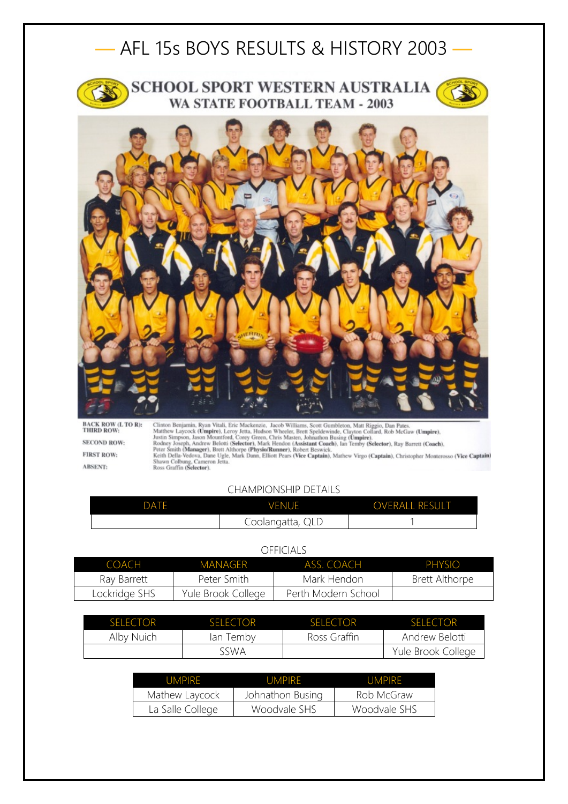## — AFL 15s BOYS RESULTS & HISTORY 2003 —



## **SCHOOL SPORT WESTERN AUSTRALIA** WA STATE FOOTBALL TEAM - 2003



**BACK ROW (L TO R):**<br>THIRD ROW: **SECOND ROW: FIRST ROW: ABSENT:** 

Clinton Benjamin, Ryan Vitali, Eric Mackenzie, Jacob Williams, Scott Gumbleton, Matt Riggio, Dan Pates.<br>Matthew Laycock (Umpire), Leroy Jetta, Hudson Wheeler, Brett Speldewinde, Clayton Collard, Rob McGaw (Umpire),<br>Justin

## CHAMPIONSHIP DETAILS

| DATE | <b>VENUE</b>     | <b>OVERALL RESULT</b> |
|------|------------------|-----------------------|
|      | Coolangatta, QLD |                       |

## OFFICIALS

| COACH         | MANAGER            | ASS COACH           | <b>PHYSIO</b>  |
|---------------|--------------------|---------------------|----------------|
| Ray Barrett   | Peter Smith        | Mark Hendon         | Brett Althorpe |
| Lockridge SHS | Yule Brook College | Perth Modern School |                |

| SEI ECTOR  | <b>SELECTOR</b> | SELECTOR     | <b>SELECTOR</b>    |
|------------|-----------------|--------------|--------------------|
| Alby Nuich | lan Temby       | Ross Graffin | Andrew Belotti     |
|            | sswa            |              | Yule Brook College |

| UMPIRE           | UMPIRF           | <b>UMPIRE</b> |
|------------------|------------------|---------------|
| Mathew Laycock   | Johnathon Busing | Rob McGraw    |
| La Salle College | Woodvale SHS     | Woodvale SHS  |